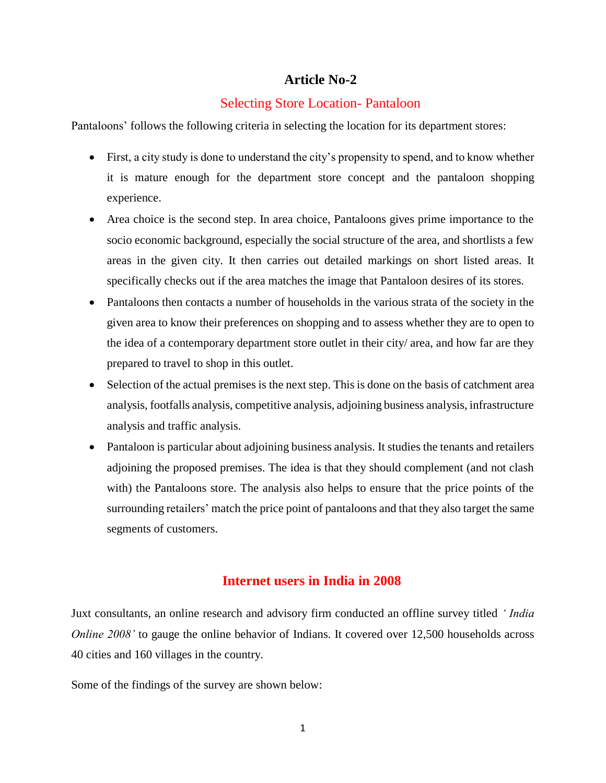# **Article No-2**

## Selecting Store Location- Pantaloon

Pantaloons' follows the following criteria in selecting the location for its department stores:

- First, a city study is done to understand the city's propensity to spend, and to know whether it is mature enough for the department store concept and the pantaloon shopping experience.
- Area choice is the second step. In area choice, Pantaloons gives prime importance to the socio economic background, especially the social structure of the area, and shortlists a few areas in the given city. It then carries out detailed markings on short listed areas. It specifically checks out if the area matches the image that Pantaloon desires of its stores.
- Pantaloons then contacts a number of households in the various strata of the society in the given area to know their preferences on shopping and to assess whether they are to open to the idea of a contemporary department store outlet in their city/ area, and how far are they prepared to travel to shop in this outlet.
- Selection of the actual premises is the next step. This is done on the basis of catchment area analysis, footfalls analysis, competitive analysis, adjoining business analysis, infrastructure analysis and traffic analysis.
- Pantaloon is particular about adjoining business analysis. It studies the tenants and retailers adjoining the proposed premises. The idea is that they should complement (and not clash with) the Pantaloons store. The analysis also helps to ensure that the price points of the surrounding retailers' match the price point of pantaloons and that they also target the same segments of customers.

# **Internet users in India in 2008**

Juxt consultants, an online research and advisory firm conducted an offline survey titled *' India Online 2008'* to gauge the online behavior of Indians. It covered over 12,500 households across 40 cities and 160 villages in the country.

Some of the findings of the survey are shown below: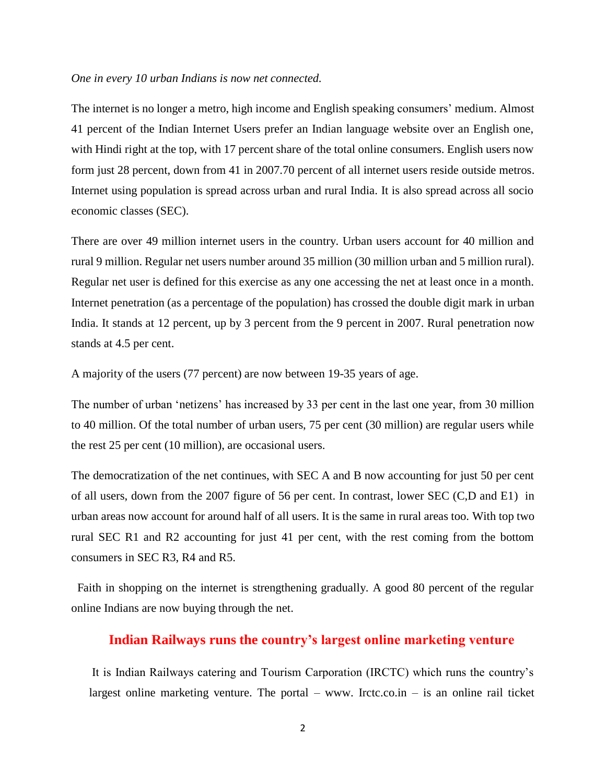#### *One in every 10 urban Indians is now net connected.*

The internet is no longer a metro, high income and English speaking consumers' medium. Almost 41 percent of the Indian Internet Users prefer an Indian language website over an English one, with Hindi right at the top, with 17 percent share of the total online consumers. English users now form just 28 percent, down from 41 in 2007.70 percent of all internet users reside outside metros. Internet using population is spread across urban and rural India. It is also spread across all socio economic classes (SEC).

There are over 49 million internet users in the country. Urban users account for 40 million and rural 9 million. Regular net users number around 35 million (30 million urban and 5 million rural). Regular net user is defined for this exercise as any one accessing the net at least once in a month. Internet penetration (as a percentage of the population) has crossed the double digit mark in urban India. It stands at 12 percent, up by 3 percent from the 9 percent in 2007. Rural penetration now stands at 4.5 per cent.

A majority of the users (77 percent) are now between 19-35 years of age.

The number of urban 'netizens' has increased by 33 per cent in the last one year, from 30 million to 40 million. Of the total number of urban users, 75 per cent (30 million) are regular users while the rest 25 per cent (10 million), are occasional users.

The democratization of the net continues, with SEC A and B now accounting for just 50 per cent of all users, down from the 2007 figure of 56 per cent. In contrast, lower SEC (C,D and E1) in urban areas now account for around half of all users. It is the same in rural areas too. With top two rural SEC R1 and R2 accounting for just 41 per cent, with the rest coming from the bottom consumers in SEC R3, R4 and R5.

 Faith in shopping on the internet is strengthening gradually. A good 80 percent of the regular online Indians are now buying through the net.

## **Indian Railways runs the country's largest online marketing venture**

It is Indian Railways catering and Tourism Carporation (IRCTC) which runs the country's largest online marketing venture. The portal – www. Irctc.co.in – is an online rail ticket